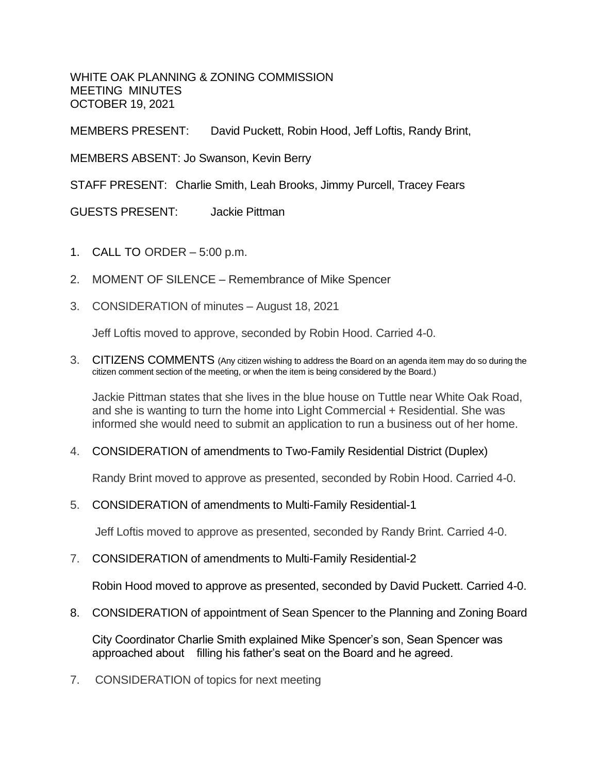WHITE OAK PLANNING & ZONING COMMISSION MEETING MINUTES OCTOBER 19, 2021

MEMBERS PRESENT: David Puckett, Robin Hood, Jeff Loftis, Randy Brint,

MEMBERS ABSENT: Jo Swanson, Kevin Berry

STAFF PRESENT: Charlie Smith, Leah Brooks, Jimmy Purcell, Tracey Fears

GUESTS PRESENT: Jackie Pittman

- 1. CALL TO ORDER 5:00 p.m.
- 2. MOMENT OF SILENCE Remembrance of Mike Spencer
- 3. CONSIDERATION of minutes August 18, 2021

Jeff Loftis moved to approve, seconded by Robin Hood. Carried 4-0.

3. CITIZENS COMMENTS (Any citizen wishing to address the Board on an agenda item may do so during the citizen comment section of the meeting, or when the item is being considered by the Board.)

Jackie Pittman states that she lives in the blue house on Tuttle near White Oak Road, and she is wanting to turn the home into Light Commercial + Residential. She was informed she would need to submit an application to run a business out of her home.

4. CONSIDERATION of amendments to Two-Family Residential District (Duplex)

Randy Brint moved to approve as presented, seconded by Robin Hood. Carried 4-0.

5. CONSIDERATION of amendments to Multi-Family Residential-1

Jeff Loftis moved to approve as presented, seconded by Randy Brint. Carried 4-0.

7. CONSIDERATION of amendments to Multi-Family Residential-2

Robin Hood moved to approve as presented, seconded by David Puckett. Carried 4-0.

8. CONSIDERATION of appointment of Sean Spencer to the Planning and Zoning Board

City Coordinator Charlie Smith explained Mike Spencer's son, Sean Spencer was approached about filling his father's seat on the Board and he agreed.

7. CONSIDERATION of topics for next meeting